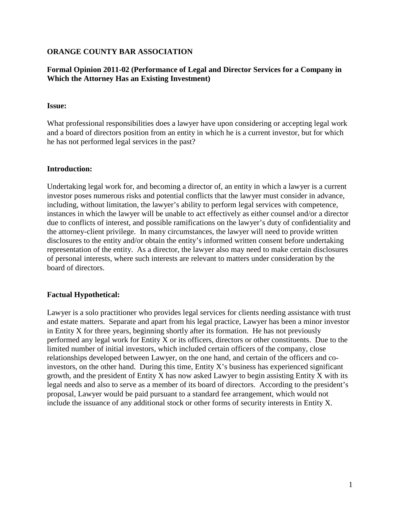## **ORANGE COUNTY BAR ASSOCIATION**

# **Formal Opinion 2011-02 (Performance of Legal and Director Services for a Company in Which the Attorney Has an Existing Investment)**

#### **Issue:**

What professional responsibilities does a lawyer have upon considering or accepting legal work and a board of directors position from an entity in which he is a current investor, but for which he has not performed legal services in the past?

#### **Introduction:**

Undertaking legal work for, and becoming a director of, an entity in which a lawyer is a current investor poses numerous risks and potential conflicts that the lawyer must consider in advance, including, without limitation, the lawyer's ability to perform legal services with competence, instances in which the lawyer will be unable to act effectively as either counsel and/or a director due to conflicts of interest, and possible ramifications on the lawyer's duty of confidentiality and the attorney-client privilege. In many circumstances, the lawyer will need to provide written disclosures to the entity and/or obtain the entity's informed written consent before undertaking representation of the entity. As a director, the lawyer also may need to make certain disclosures of personal interests, where such interests are relevant to matters under consideration by the board of directors.

### **Factual Hypothetical:**

Lawyer is a solo practitioner who provides legal services for clients needing assistance with trust and estate matters. Separate and apart from his legal practice, Lawyer has been a minor investor in Entity X for three years, beginning shortly after its formation. He has not previously performed any legal work for Entity X or its officers, directors or other constituents. Due to the limited number of initial investors, which included certain officers of the company, close relationships developed between Lawyer, on the one hand, and certain of the officers and coinvestors, on the other hand. During this time, Entity X's business has experienced significant growth, and the president of Entity X has now asked Lawyer to begin assisting Entity X with its legal needs and also to serve as a member of its board of directors. According to the president's proposal, Lawyer would be paid pursuant to a standard fee arrangement, which would not include the issuance of any additional stock or other forms of security interests in Entity X.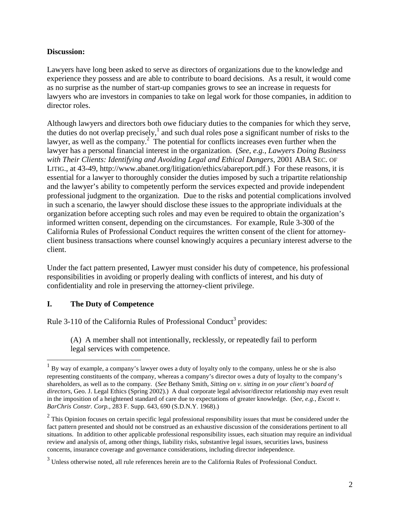# **Discussion:**

Lawyers have long been asked to serve as directors of organizations due to the knowledge and experience they possess and are able to contribute to board decisions. As a result, it would come as no surprise as the number of start-up companies grows to see an increase in requests for lawyers who are investors in companies to take on legal work for those companies, in addition to director roles.

Although lawyers and directors both owe fiduciary duties to the companies for which they serve, the duties do not overlap precisely,<sup>1</sup> and such dual roles pose a significant number of risks to the lawyer, as well as the company. $2^2$  The potential for conflicts increases even further when the lawyer has a personal financial interest in the organization. (*See, e.g., Lawyers Doing Business with Their Clients: Identifying and Avoiding Legal and Ethical Dangers*, 2001 ABA SEC. OF LITIG., at 43-49, http://www.abanet.org/litigation/ethics/abareport.pdf.) For these reasons, it is essential for a lawyer to thoroughly consider the duties imposed by such a tripartite relationship and the lawyer's ability to competently perform the services expected and provide independent professional judgment to the organization. Due to the risks and potential complications involved in such a scenario, the lawyer should disclose these issues to the appropriate individuals at the organization before accepting such roles and may even be required to obtain the organization's informed written consent, depending on the circumstances. For example, Rule 3-300 of the California Rules of Professional Conduct requires the written consent of the client for attorneyclient business transactions where counsel knowingly acquires a pecuniary interest adverse to the client.

Under the fact pattern presented, Lawyer must consider his duty of competence, his professional responsibilities in avoiding or properly dealing with conflicts of interest, and his duty of confidentiality and role in preserving the attorney-client privilege.

# **I. The Duty of Competence**

<u>.</u>

Rule 3-110 of the California Rules of Professional Conduct<sup>3</sup> provides:

(A) A member shall not intentionally, recklessly, or repeatedly fail to perform legal services with competence.

<sup>&</sup>lt;sup>1</sup> By way of example, a company's lawyer owes a duty of loyalty only to the company, unless he or she is also representing constituents of the company, whereas a company's director owes a duty of loyalty to the company's shareholders, as well as to the company. (*See* Bethany Smith, *Sitting on v. sitting in on your client's board of directors*, Geo. J. Legal Ethics (Spring 2002).) A dual corporate legal advisor/director relationship may even result in the imposition of a heightened standard of care due to expectations of greater knowledge. (*See, e.g.*, *Escott v. BarChris Constr. Corp.*, 283 F. Supp. 643, 690 (S.D.N.Y. 1968).)

 $2$  This Opinion focuses on certain specific legal professional responsibility issues that must be considered under the fact pattern presented and should not be construed as an exhaustive discussion of the considerations pertinent to all situations. In addition to other applicable professional responsibility issues, each situation may require an individual review and analysis of, among other things*,* liability risks, substantive legal issues, securities laws, business concerns, insurance coverage and governance considerations, including director independence.

 $3$  Unless otherwise noted, all rule references herein are to the California Rules of Professional Conduct.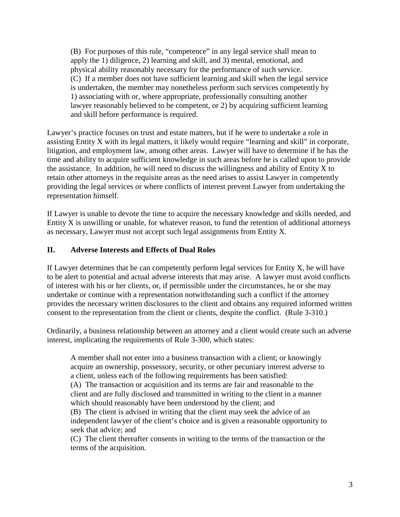(B) For purposes of this rule, "competence" in any legal service shall mean to apply the 1) diligence, 2) learning and skill, and 3) mental, emotional, and physical ability reasonably necessary for the performance of such service. (C) If a member does not have sufficient learning and skill when the legal service is undertaken, the member may nonetheless perform such services competently by 1) associating with or, where appropriate, professionally consulting another lawyer reasonably believed to be competent, or 2) by acquiring sufficient learning and skill before performance is required.

Lawyer's practice focuses on trust and estate matters, but if he were to undertake a role in assisting Entity X with its legal matters, it likely would require "learning and skill" in corporate, litigation, and employment law, among other areas. Lawyer will have to determine if he has the time and ability to acquire sufficient knowledge in such areas before he is called upon to provide the assistance. In addition, he will need to discuss the willingness and ability of Entity X to retain other attorneys in the requisite areas as the need arises to assist Lawyer in competently providing the legal services or where conflicts of interest prevent Lawyer from undertaking the representation himself.

If Lawyer is unable to devote the time to acquire the necessary knowledge and skills needed, and Entity X is unwilling or unable, for whatever reason, to fund the retention of additional attorneys as necessary, Lawyer must not accept such legal assignments from Entity X.

# **II. Adverse Interests and Effects of Dual Roles**

If Lawyer determines that he can competently perform legal services for Entity X, he will have to be alert to potential and actual adverse interests that may arise. A lawyer must avoid conflicts of interest with his or her clients, or, if permissible under the circumstances, he or she may undertake or continue with a representation notwithstanding such a conflict if the attorney provides the necessary written disclosures to the client and obtains any required informed written consent to the representation from the client or clients, despite the conflict. (Rule 3-310.)

Ordinarily, a business relationship between an attorney and a client would create such an adverse interest, implicating the requirements of Rule 3-300, which states:

A member shall not enter into a business transaction with a client; or knowingly acquire an ownership, possessory, security, or other pecuniary interest adverse to a client, unless each of the following requirements has been satisfied: (A) The transaction or acquisition and its terms are fair and reasonable to the client and are fully disclosed and transmitted in writing to the client in a manner which should reasonably have been understood by the client; and (B) The client is advised in writing that the client may seek the advice of an independent lawyer of the client's choice and is given a reasonable opportunity to seek that advice; and

(C) The client thereafter consents in writing to the terms of the transaction or the terms of the acquisition.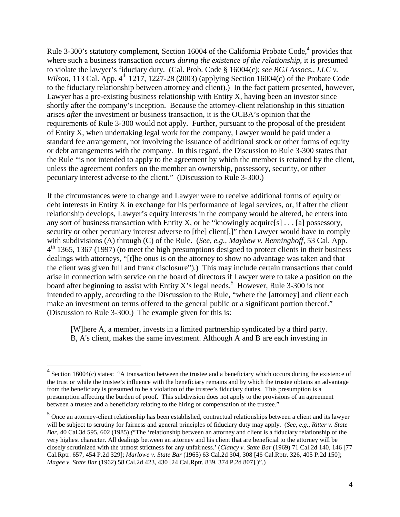Rule 3-300's statutory complement, Section 16004 of the California Probate Code,<sup>4</sup> provides that where such a business transaction *occurs during the existence of the relationship*, it is presumed to violate the lawyer's fiduciary duty. (Cal. Prob. Code § 16004(c); *see BGJ Assocs., LLC v. Wilson*, 113 Cal. App.  $4<sup>th</sup>$  1217, 1227-28 (2003) (applying Section 16004(c) of the Probate Code to the fiduciary relationship between attorney and client).) In the fact pattern presented, however, Lawyer has a pre-existing business relationship with Entity X, having been an investor since shortly after the company's inception. Because the attorney-client relationship in this situation arises *after* the investment or business transaction, it is the OCBA's opinion that the requirements of Rule 3-300 would not apply. Further, pursuant to the proposal of the president of Entity X, when undertaking legal work for the company, Lawyer would be paid under a standard fee arrangement, not involving the issuance of additional stock or other forms of equity or debt arrangements with the company. In this regard, the Discussion to Rule 3-300 states that the Rule "is not intended to apply to the agreement by which the member is retained by the client, unless the agreement confers on the member an ownership, possessory, security, or other pecuniary interest adverse to the client." (Discussion to Rule 3-300.)

If the circumstances were to change and Lawyer were to receive additional forms of equity or debt interests in Entity X in exchange for his performance of legal services, or, if after the client relationship develops, Lawyer's equity interests in the company would be altered, he enters into any sort of business transaction with Entity X, or he "knowingly acquire[s] . . . [a] possessory, security or other pecuniary interest adverse to [the] client[,]" then Lawyer would have to comply with subdivisions (A) through (C) of the Rule. (*See, e.g., Mayhew v. Benninghoff*, 53 Cal. App. 4<sup>th</sup> 1365, 1367 (1997) (to meet the high presumptions designed to protect clients in their business dealings with attorneys, "[t]he onus is on the attorney to show no advantage was taken and that the client was given full and frank disclosure").) This may include certain transactions that could arise in connection with service on the board of directors if Lawyer were to take a position on the board after beginning to assist with Entity X's legal needs.<sup>5</sup> However, Rule 3-300 is not intended to apply, according to the Discussion to the Rule, "where the [attorney] and client each make an investment on terms offered to the general public or a significant portion thereof." (Discussion to Rule 3-300.) The example given for this is:

[W]here A, a member, invests in a limited partnership syndicated by a third party. B, A's client, makes the same investment. Although A and B are each investing in

 $\overline{a}$ 

 $4$  Section 16004(c) states: "A transaction between the trustee and a beneficiary which occurs during the existence of the trust or while the trustee's influence with the beneficiary remains and by which the trustee obtains an advantage from the beneficiary is presumed to be a violation of the trustee's fiduciary duties. This presumption is a presumption affecting the burden of proof. This subdivision does not apply to the provisions of an agreement between a trustee and a beneficiary relating to the hiring or compensation of the trustee."

<sup>&</sup>lt;sup>5</sup> Once an attorney-client relationship has been established, contractual relationships between a client and its lawyer will be subject to scrutiny for fairness and general principles of fiduciary duty may apply. (*See, e.g., Ritter v. State Bar,* 40 Cal.3d 595, 602 (1985) *(*"The 'relationship between an attorney and client is a fiduciary relationship of the very highest character. All dealings between an attorney and his client that are beneficial to the attorney will be closely scrutinized with the utmost strictness for any unfairness.' (*Clancy v. State Bar* (1969) 71 Cal.2d 140, 146 [77 Cal.Rptr. 657, 454 P.2d 329]; *Marlowe v. State Bar* (1965) 63 Cal.2d 304, 308 [46 Cal.Rptr. 326, 405 P.2d 150]; *Magee v. State Bar* (1962) 58 Cal.2d 423, 430 [24 Cal.Rptr. 839, 374 P.2d 807].)".)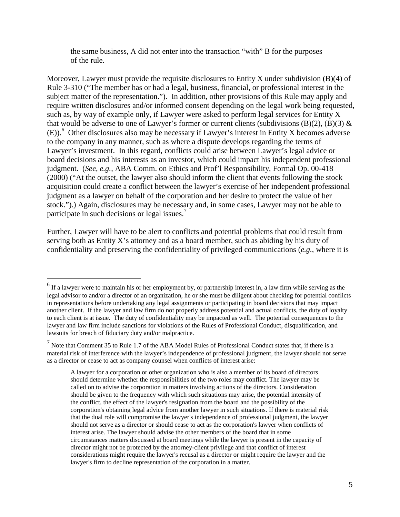the same business, A did not enter into the transaction "with" B for the purposes of the rule.

Moreover, Lawyer must provide the requisite disclosures to Entity X under subdivision  $(B)(4)$  of Rule 3-310 ("The member has or had a legal, business, financial, or professional interest in the subject matter of the representation."). In addition, other provisions of this Rule may apply and require written disclosures and/or informed consent depending on the legal work being requested, such as, by way of example only, if Lawyer were asked to perform legal services for Entity X that would be adverse to one of Lawyer's former or current clients (subdivisions  $(B)(2)$ ,  $(B)(3)$  & (E)).<sup>6</sup> Other disclosures also may be necessary if Lawyer's interest in Entity X becomes adverse to the company in any manner, such as where a dispute develops regarding the terms of Lawyer's investment. In this regard, conflicts could arise between Lawyer's legal advice or board decisions and his interests as an investor, which could impact his independent professional judgment. (*See, e.g.,* ABA Comm. on Ethics and Prof'l Responsibility, Formal Op. 00-418 (2000) ("At the outset, the lawyer also should inform the client that events following the stock acquisition could create a conflict between the lawyer's exercise of her independent professional judgment as a lawyer on behalf of the corporation and her desire to protect the value of her stock.").) Again, disclosures may be necessary and, in some cases, Lawyer may not be able to participate in such decisions or legal issues.<sup>7</sup>

Further, Lawyer will have to be alert to conflicts and potential problems that could result from serving both as Entity X's attorney and as a board member, such as abiding by his duty of confidentiality and preserving the confidentiality of privileged communications (*e.g.*, where it is

<sup>&</sup>lt;sup>6</sup> If a lawyer were to maintain his or her employment by, or partnership interest in, a law firm while serving as the legal advisor to and/or a director of an organization, he or she must be diligent about checking for potential conflicts in representations before undertaking any legal assignments or participating in board decisions that may impact another client. If the lawyer and law firm do not properly address potential and actual conflicts, the duty of loyalty to each client is at issue. The duty of confidentiality may be impacted as well. The potential consequences to the lawyer and law firm include sanctions for violations of the Rules of Professional Conduct, disqualification, and lawsuits for breach of fiduciary duty and/or malpractice.

 $<sup>7</sup>$  Note that Comment 35 to Rule 1.7 of the ABA Model Rules of Professional Conduct states that, if there is a</sup> material risk of interference with the lawyer's independence of professional judgment, the lawyer should not serve as a director or cease to act as company counsel when conflicts of interest arise:

A lawyer for a corporation or other organization who is also a member of its board of directors should determine whether the responsibilities of the two roles may conflict. The lawyer may be called on to advise the corporation in matters involving actions of the directors. Consideration should be given to the frequency with which such situations may arise, the potential intensity of the conflict, the effect of the lawyer's resignation from the board and the possibility of the corporation's obtaining legal advice from another lawyer in such situations. If there is material risk that the dual role will compromise the lawyer's independence of professional judgment, the lawyer should not serve as a director or should cease to act as the corporation's lawyer when conflicts of interest arise. The lawyer should advise the other members of the board that in some circumstances matters discussed at board meetings while the lawyer is present in the capacity of director might not be protected by the attorney-client privilege and that conflict of interest considerations might require the lawyer's recusal as a director or might require the lawyer and the lawyer's firm to decline representation of the corporation in a matter.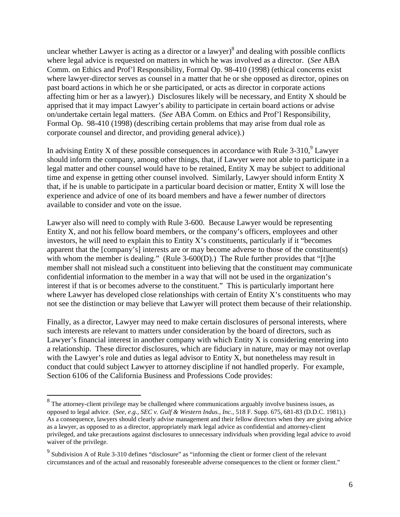unclear whether Lawyer is acting as a director or a lawyer) $\delta$  and dealing with possible conflicts where legal advice is requested on matters in which he was involved as a director. (*See* ABA Comm. on Ethics and Prof'l Responsibility, Formal Op. 98-410 (1998) (ethical concerns exist where lawyer-director serves as counsel in a matter that he or she opposed as director, opines on past board actions in which he or she participated, or acts as director in corporate actions affecting him or her as a lawyer).) Disclosures likely will be necessary, and Entity X should be apprised that it may impact Lawyer's ability to participate in certain board actions or advise on/undertake certain legal matters. (*See* ABA Comm. on Ethics and Prof'l Responsibility, Formal Op. 98-410 (1998) (describing certain problems that may arise from dual role as corporate counsel and director, and providing general advice).)

In advising Entity X of these possible consequences in accordance with Rule 3-310,  $\mu$  Lawyer should inform the company, among other things*,* that, if Lawyer were not able to participate in a legal matter and other counsel would have to be retained, Entity X may be subject to additional time and expense in getting other counsel involved. Similarly, Lawyer should inform Entity X that, if he is unable to participate in a particular board decision or matter, Entity X will lose the experience and advice of one of its board members and have a fewer number of directors available to consider and vote on the issue.

Lawyer also will need to comply with Rule 3-600. Because Lawyer would be representing Entity X, and not his fellow board members, or the company's officers, employees and other investors, he will need to explain this to Entity X's constituents, particularly if it "becomes apparent that the [company's] interests are or may become adverse to those of the constituent(s) with whom the member is dealing." (Rule 3-600(D).) The Rule further provides that "[t]he member shall not mislead such a constituent into believing that the constituent may communicate confidential information to the member in a way that will not be used in the organization's interest if that is or becomes adverse to the constituent." This is particularly important here where Lawyer has developed close relationships with certain of Entity X's constituents who may not see the distinction or may believe that Lawyer will protect them because of their relationship.

Finally, as a director, Lawyer may need to make certain disclosures of personal interests, where such interests are relevant to matters under consideration by the board of directors, such as Lawyer's financial interest in another company with which Entity X is considering entering into a relationship. These director disclosures, which are fiduciary in nature, may or may not overlap with the Lawyer's role and duties as legal advisor to Entity X, but nonetheless may result in conduct that could subject Lawyer to attorney discipline if not handled properly. For example, Section 6106 of the California Business and Professions Code provides:

<sup>&</sup>lt;sup>8</sup>The attorney-client privilege may be challenged where communications arguably involve business issues, as <sup>8</sup> opposed to legal advice. (*See, e.g.*, *SEC v. Gulf & Western Indus., Inc.*, 518 F. Supp. 675, 681-83 (D.D.C. 1981).) As a consequence, lawyers should clearly advise management and their fellow directors when they are giving advice as a lawyer, as opposed to as a director, appropriately mark legal advice as confidential and attorney-client privileged, and take precautions against disclosures to unnecessary individuals when providing legal advice to avoid waiver of the privilege.

<sup>&</sup>lt;sup>9</sup> Subdivision A of Rule 3-310 defines "disclosure" as "informing the client or former client of the relevant circumstances and of the actual and reasonably foreseeable adverse consequences to the client or former client."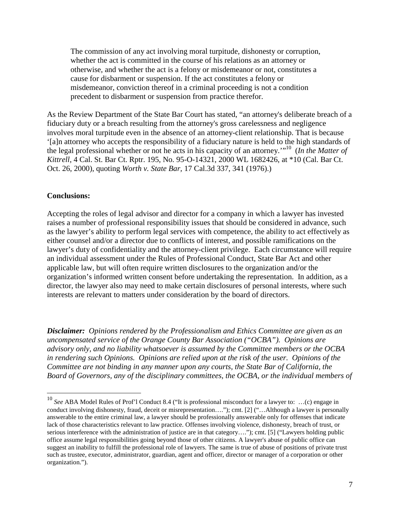The commission of any act involving moral turpitude, dishonesty or corruption, whether the act is committed in the course of his relations as an attorney or otherwise, and whether the act is a felony or misdemeanor or not, constitutes a cause for disbarment or suspension. If the act constitutes a felony or misdemeanor, conviction thereof in a criminal proceeding is not a condition precedent to disbarment or suspension from practice therefor.

As the Review Department of the State Bar Court has stated, "an attorney's deliberate breach of a fiduciary duty or a breach resulting from the attorney's gross carelessness and negligence involves moral turpitude even in the absence of an attorney-client relationship. That is because '[a]n attorney who accepts the responsibility of a fiduciary nature is held to the high standards of the legal professional whether or not he acts in his capacity of an attorney.'"<sup>10</sup> (*In the Matter of Kittrell*, 4 Cal. St. Bar Ct. Rptr. 195, No. 95-O-14321, 2000 WL 1682426, at \*10 (Cal. Bar Ct. Oct. 26, 2000), quoting *Worth v. State Bar,* 17 Cal.3d 337, 341 (1976).)

### **Conclusions:**

<u>.</u>

Accepting the roles of legal advisor and director for a company in which a lawyer has invested raises a number of professional responsibility issues that should be considered in advance, such as the lawyer's ability to perform legal services with competence, the ability to act effectively as either counsel and/or a director due to conflicts of interest, and possible ramifications on the lawyer's duty of confidentiality and the attorney-client privilege. Each circumstance will require an individual assessment under the Rules of Professional Conduct, State Bar Act and other applicable law, but will often require written disclosures to the organization and/or the organization's informed written consent before undertaking the representation. In addition, as a director, the lawyer also may need to make certain disclosures of personal interests, where such interests are relevant to matters under consideration by the board of directors.

*Disclaimer: Opinions rendered by the Professionalism and Ethics Committee are given as an uncompensated service of the Orange County Bar Association ("OCBA"). Opinions are advisory only, and no liability whatsoever is assumed by the Committee members or the OCBA in rendering such Opinions. Opinions are relied upon at the risk of the user. Opinions of the Committee are not binding in any manner upon any courts, the State Bar of California, the Board of Governors, any of the disciplinary committees, the OCBA, or the individual members of* 

<sup>10</sup> *See* ABA Model Rules of Prof'l Conduct 8.4 ("It is professional misconduct for a lawyer to: …(c) engage in conduct involving dishonesty, fraud, deceit or misrepresentation…."); cmt. [2] ("…Although a lawyer is personally answerable to the entire criminal law, a lawyer should be professionally answerable only for offenses that indicate lack of those characteristics relevant to law practice. Offenses involving violence, dishonesty, breach of trust, or serious interference with the administration of justice are in that category…."); cmt. [5] ("Lawyers holding public office assume legal responsibilities going beyond those of other citizens. A lawyer's abuse of public office can suggest an inability to fulfill the professional role of lawyers. The same is true of abuse of positions of private trust such as trustee, executor, administrator, guardian, agent and officer, director or manager of a corporation or other organization.").